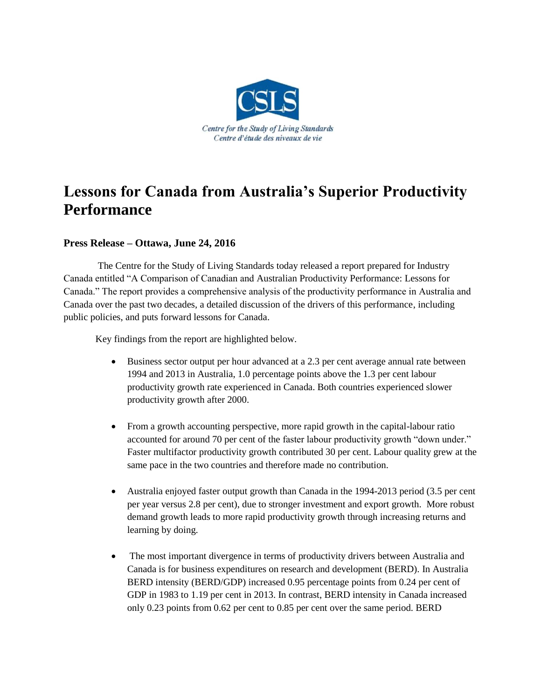

## **Lessons for Canada from Australia's Superior Productivity Performance**

## **Press Release – Ottawa, June 24, 2016**

The Centre for the Study of Living Standards today released a report prepared for Industry Canada entitled "A Comparison of Canadian and Australian Productivity Performance: Lessons for Canada." The report provides a comprehensive analysis of the productivity performance in Australia and Canada over the past two decades, a detailed discussion of the drivers of this performance, including public policies, and puts forward lessons for Canada.

Key findings from the report are highlighted below.

- Business sector output per hour advanced at a 2.3 per cent average annual rate between 1994 and 2013 in Australia, 1.0 percentage points above the 1.3 per cent labour productivity growth rate experienced in Canada. Both countries experienced slower productivity growth after 2000.
- From a growth accounting perspective, more rapid growth in the capital-labour ratio accounted for around 70 per cent of the faster labour productivity growth "down under." Faster multifactor productivity growth contributed 30 per cent. Labour quality grew at the same pace in the two countries and therefore made no contribution.
- Australia enjoyed faster output growth than Canada in the 1994-2013 period (3.5 per cent per year versus 2.8 per cent), due to stronger investment and export growth. More robust demand growth leads to more rapid productivity growth through increasing returns and learning by doing.
- The most important divergence in terms of productivity drivers between Australia and Canada is for business expenditures on research and development (BERD). In Australia BERD intensity (BERD/GDP) increased 0.95 percentage points from 0.24 per cent of GDP in 1983 to 1.19 per cent in 2013. In contrast, BERD intensity in Canada increased only 0.23 points from 0.62 per cent to 0.85 per cent over the same period. BERD